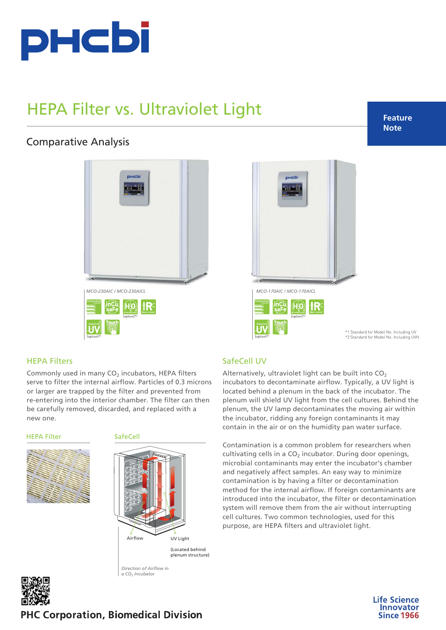

# HEPA Filter vs. Ultraviolet Light

## Comparative Analysis

 $PHCb$ *[MCO-230AIC / MCO-230AICL](https://www.phchd.com/global/biomedical/incubation/CO2incubators/mco-230aic) [MCO-170AIC / MCO-170AICL](https://www.phchd.com/global/biomedical/incubation/CO2incubators/mco-170aic)*





\*1 Standard for Model No. Including UV \*2 Standard for Model No. Including UVH

> **Life Science Innovator**

> > **Since 1966**

### HEPA Filters

Commonly used in many  $CO<sub>2</sub>$  incubators, HEPA filters serve to filter the internal airflow. Particles of 0.3 microns or larger are trapped by the filter and prevented from re-entering into the interior chamber. The filter can then be carefully removed, discarded, and replaced with a new one.

HEPA Filter



#### **SafeCell**



*a CO2 Incubator*

## SafeCell UV

(option)\*1

Alternatively, ultraviolet light can be built into  $CO<sub>2</sub>$ incubators to decontaminate airflow. Typically, a UV light is located behind a plenum in the back of the incubator. The plenum will shield UV light from the cell cultures. Behind the plenum, the UV lamp decontaminates the moving air within the incubator, ridding any foreign contaminants it may contain in the air or on the humidity pan water surface.

Contamination is a common problem for researchers when cultivating cells in a  $CO<sub>2</sub>$  incubator. During door openings, microbial contaminants may enter the incubator's chamber and negatively affect samples. An easy way to minimize contamination is by having a filter or decontamination method for the internal airflow. If foreign contaminants are introduced into the incubator, the filter or decontamination system will remove them from the air without interrupting cell cultures. Two common technologies, used for this purpose, are HEPA filters and ultraviolet light.



**PHC Corporation, Biomedical Division** 

## **Feature Note**